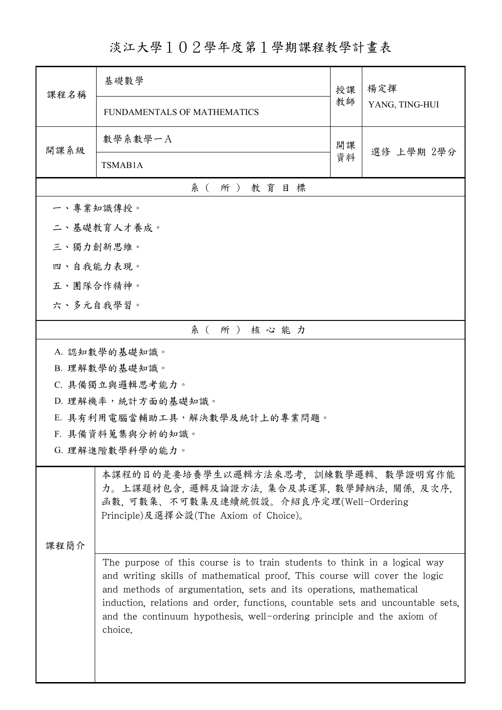## 淡江大學102學年度第1學期課程教學計畫表

| 課程名稱      | 基礎數學                                                                                                                                                                                                                                                                                                                                                                                                                                                                                                                                                                           | 授課 | 楊定揮<br>YANG, TING-HUI |  |  |  |
|-----------|--------------------------------------------------------------------------------------------------------------------------------------------------------------------------------------------------------------------------------------------------------------------------------------------------------------------------------------------------------------------------------------------------------------------------------------------------------------------------------------------------------------------------------------------------------------------------------|----|-----------------------|--|--|--|
|           | FUNDAMENTALS OF MATHEMATICS                                                                                                                                                                                                                                                                                                                                                                                                                                                                                                                                                    | 教師 |                       |  |  |  |
| 開課系級      | 數學系數學一A                                                                                                                                                                                                                                                                                                                                                                                                                                                                                                                                                                        | 開課 | 選修 上學期 2學分            |  |  |  |
|           | TSMAB1A                                                                                                                                                                                                                                                                                                                                                                                                                                                                                                                                                                        | 資料 |                       |  |  |  |
|           | 系(所)教育目標                                                                                                                                                                                                                                                                                                                                                                                                                                                                                                                                                                       |    |                       |  |  |  |
| 一、專業知識傳授。 |                                                                                                                                                                                                                                                                                                                                                                                                                                                                                                                                                                                |    |                       |  |  |  |
|           | 二、基礎教育人才養成。                                                                                                                                                                                                                                                                                                                                                                                                                                                                                                                                                                    |    |                       |  |  |  |
| 三、獨力創新思維。 |                                                                                                                                                                                                                                                                                                                                                                                                                                                                                                                                                                                |    |                       |  |  |  |
| 四、自我能力表現。 |                                                                                                                                                                                                                                                                                                                                                                                                                                                                                                                                                                                |    |                       |  |  |  |
| 五、團隊合作精神。 |                                                                                                                                                                                                                                                                                                                                                                                                                                                                                                                                                                                |    |                       |  |  |  |
|           | 六、多元自我學習。                                                                                                                                                                                                                                                                                                                                                                                                                                                                                                                                                                      |    |                       |  |  |  |
|           | 系(所)核心能力                                                                                                                                                                                                                                                                                                                                                                                                                                                                                                                                                                       |    |                       |  |  |  |
|           | A. 認知數學的基礎知識。                                                                                                                                                                                                                                                                                                                                                                                                                                                                                                                                                                  |    |                       |  |  |  |
|           | B. 理解數學的基礎知識。                                                                                                                                                                                                                                                                                                                                                                                                                                                                                                                                                                  |    |                       |  |  |  |
|           | C. 具備獨立與邏輯思考能力。                                                                                                                                                                                                                                                                                                                                                                                                                                                                                                                                                                |    |                       |  |  |  |
|           | D. 理解機率,統計方面的基礎知識。                                                                                                                                                                                                                                                                                                                                                                                                                                                                                                                                                             |    |                       |  |  |  |
|           | E. 具有利用電腦當輔助工具,解決數學及統計上的專業問題。                                                                                                                                                                                                                                                                                                                                                                                                                                                                                                                                                  |    |                       |  |  |  |
|           | F. 具備資料蒐集與分析的知識。<br>G. 理解進階數學科學的能力。                                                                                                                                                                                                                                                                                                                                                                                                                                                                                                                                            |    |                       |  |  |  |
|           |                                                                                                                                                                                                                                                                                                                                                                                                                                                                                                                                                                                |    |                       |  |  |  |
| 课程简介      | 本課程的目的是要培養學生以邏輯方法來思考、訓練數學邏輯、數學證明寫作能<br>力。上課題材包含, 邏輯及論證方法, 集合及其運算, 數學歸納法, 關係, 及次序,<br>函數,可數集、不可數集及連續統假設。介紹良序定理(Well-Ordering<br>Principle)及選擇公設(The Axiom of Choice)。<br>The purpose of this course is to train students to think in a logical way<br>and writing skills of mathematical proof. This course will cover the logic<br>and methods of argumentation, sets and its operations, mathematical<br>induction, relations and order, functions, countable sets and uncountable sets,<br>and the continuum hypothesis, well-ordering principle and the axiom of<br>choice. |    |                       |  |  |  |
|           |                                                                                                                                                                                                                                                                                                                                                                                                                                                                                                                                                                                |    |                       |  |  |  |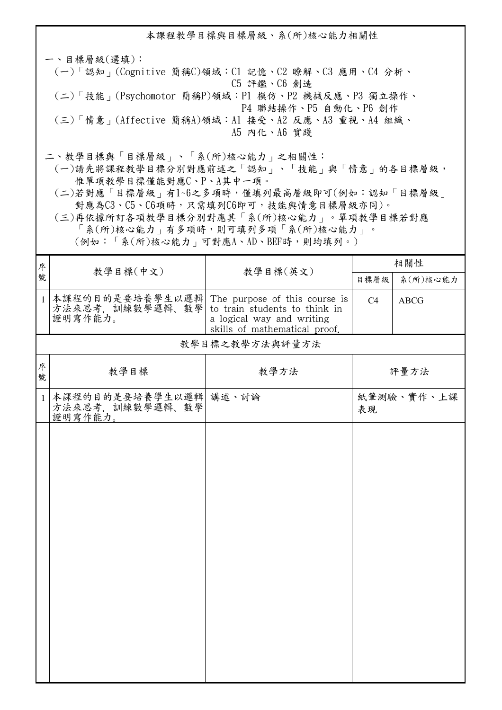本課程教學目標與目標層級、系(所)核心能力相關性 一、目標層級(選填): (一)「認知」(Cognitive 簡稱C)領域:C1 記憶、C2 瞭解、C3 應用、C4 分析、 C5 評鑑、C6 創造 (二)「技能」(Psychomotor 簡稱P)領域:P1 模仿、P2 機械反應、P3 獨立操作、 P4 聯結操作、P5 自動化、P6 創作 (三)「情意」(Affective 簡稱A)領域:A1 接受、A2 反應、A3 重視、A4 組織、 A5 內化、A6 實踐 二、教學目標與「目標層級」、「系(所)核心能力」之相關性: (一)請先將課程教學目標分別對應前述之「認知」、「技能」與「情意」的各目標層級, 惟單項教學目標僅能對應C、P、A其中一項。

 (二)若對應「目標層級」有1~6之多項時,僅填列最高層級即可(例如:認知「目標層級」 對應為C3、C5、C6項時,只需填列C6即可,技能與情意目標層級亦同)。

 (三)再依據所訂各項教學目標分別對應其「系(所)核心能力」。單項教學目標若對應 「系(所)核心能力」有多項時,則可填列多項「系(所)核心能力」。

(例如:「系(所)核心能力」可對應A、AD、BEF時,則均填列。)

| 序            | 教學目標(中文)<br>教學目標(英文)                                              |                                                                                             | 相關性            |             |  |  |
|--------------|-------------------------------------------------------------------|---------------------------------------------------------------------------------------------|----------------|-------------|--|--|
| 號            |                                                                   | 目標層級                                                                                        | 系(所)核心能力       |             |  |  |
| $\mathbf{1}$ | 本課程的目的是要培養學生以邏輯 The purpose of this course is<br>方法來思考, 訓練數學邏輯、數學 | to train students to think in<br>a logical way and writing<br>skills of mathematical proof. | C <sub>4</sub> | <b>ABCG</b> |  |  |
|              | 教學目標之教學方法與評量方法                                                    |                                                                                             |                |             |  |  |
| 序<br>號       | 教學目標                                                              | 教學方法                                                                                        |                | 評量方法        |  |  |
| $\mathbf{1}$ | 本課程的目的是要培養學生以邏輯 講述、討論<br>方法來思考,訓練數學邏輯、數學<br>證明寫作能力。               |                                                                                             | 表現             | 紙筆測驗、實作、上課  |  |  |
|              |                                                                   |                                                                                             |                |             |  |  |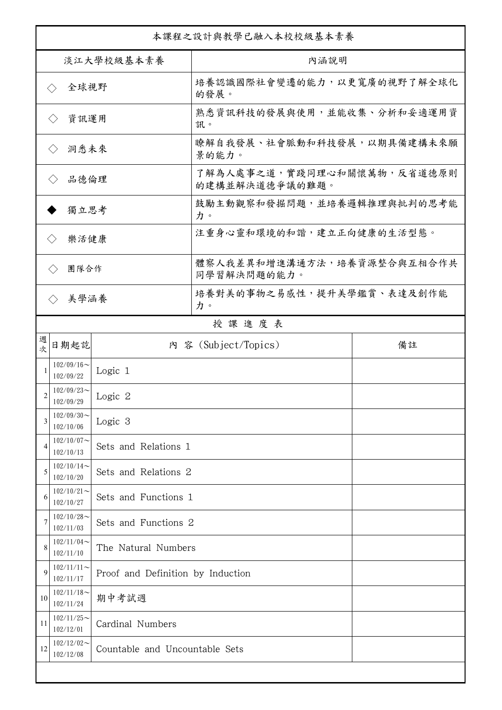| 本課程之設計與教學已融入本校校級基本素養         |                            |                                   |                                              |    |  |
|------------------------------|----------------------------|-----------------------------------|----------------------------------------------|----|--|
| 淡江大學校級基本素養                   |                            |                                   | 內涵說明                                         |    |  |
| 全球視野<br>$\langle \ \rangle$  |                            |                                   | 培養認識國際社會變遷的能力,以更寬廣的視野了解全球化<br>的發展。           |    |  |
| 資訊運用<br>$\langle \ \rangle$  |                            |                                   | 熟悉資訊科技的發展與使用,並能收集、分析和妥適運用資<br>訊。             |    |  |
| 洞悉未來<br>$\langle \ \rangle$  |                            |                                   | 瞭解自我發展、社會脈動和科技發展,以期具備建構未來願<br>景的能力。          |    |  |
| 品德倫理<br>$\langle \ \rangle$  |                            |                                   | 了解為人處事之道,實踐同理心和關懷萬物,反省道德原則<br>的建構並解決道德爭議的難題。 |    |  |
| 獨立思考                         |                            |                                   | 鼓勵主動觀察和發掘問題,並培養邏輯推理與批判的思考能<br>力。             |    |  |
| 樂活健康<br>$\langle \, \rangle$ |                            |                                   | 注重身心靈和環境的和諧,建立正向健康的生活型態。                     |    |  |
| 團隊合作<br>$\langle \rangle$    |                            |                                   | 體察人我差異和增進溝通方法,培養資源整合與互相合作共<br>同學習解決問題的能力。    |    |  |
|                              | 美學涵養<br>$\langle \rangle$  |                                   | 培養對美的事物之易感性,提升美學鑑賞、表達及創作能<br>力。              |    |  |
|                              |                            |                                   | 授課進度表                                        |    |  |
| 週<br>欤                       | 日期起訖                       |                                   | 內 容 (Subject/Topics)                         | 備註 |  |
| 1                            | $102/09/16$ ~<br>102/09/22 | Logic 1                           |                                              |    |  |
| 2                            | $102/09/23$ ~<br>102/09/29 | Logic 2                           |                                              |    |  |
| 3                            | $102/09/30$ ~<br>102/10/06 | Logic 3                           |                                              |    |  |
| $\overline{4}$               | $102/10/07$ ~<br>102/10/13 | Sets and Relations 1              |                                              |    |  |
| 5                            | $102/10/14$ ~<br>102/10/20 | Sets and Relations 2              |                                              |    |  |
| 6                            | $102/10/21$ ~<br>102/10/27 | Sets and Functions 1              |                                              |    |  |
|                              | $102/10/28$ ~<br>102/11/03 | Sets and Functions 2              |                                              |    |  |
| 8                            | $102/11/04$ ~<br>102/11/10 | The Natural Numbers               |                                              |    |  |
| $\mathbf Q$                  | $102/11/11$ ~<br>102/11/17 | Proof and Definition by Induction |                                              |    |  |
| 10                           | $102/11/18$ ~<br>102/11/24 | 期中考試週                             |                                              |    |  |
| 11                           | $102/11/25$ ~<br>102/12/01 | Cardinal Numbers                  |                                              |    |  |
| 12                           | $102/12/02$ ~<br>102/12/08 | Countable and Uncountable Sets    |                                              |    |  |
|                              |                            |                                   |                                              |    |  |